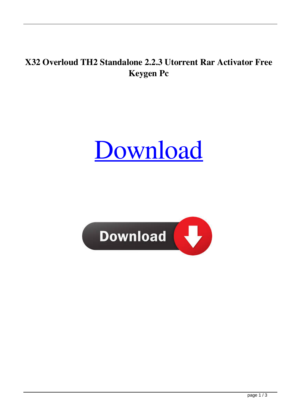## **X32 Overloud TH2 Standalone 2.2.3 Utorrent Rar Activator Free Keygen Pc**

## [Download](http://evacdir.com/ZG93bmxvYWR8OWVxTW5sc2FueDhNVFkxTWpjME1EZzJObng4TWpVM05IeDhLRTBwSUhKbFlXUXRZbXh2WnlCYlJtRnpkQ0JIUlU1ZA/gasbuddy.music/abortions/clacking/durable.T3ZlcmxvdWQgVEgyIFN0YW5kYWxvbmUgMi4yLjMgMzIgYW5kIDY0IDEzNwT3Z/isas)

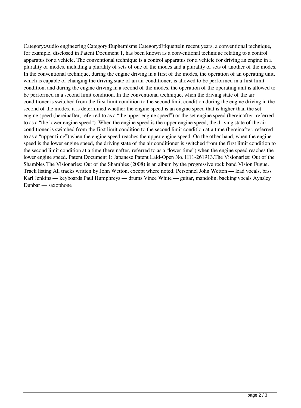Category:Audio engineering Category:Euphemisms Category:EtiquetteIn recent years, a conventional technique, for example, disclosed in Patent Document 1, has been known as a conventional technique relating to a control apparatus for a vehicle. The conventional technique is a control apparatus for a vehicle for driving an engine in a plurality of modes, including a plurality of sets of one of the modes and a plurality of sets of another of the modes. In the conventional technique, during the engine driving in a first of the modes, the operation of an operating unit, which is capable of changing the driving state of an air conditioner, is allowed to be performed in a first limit condition, and during the engine driving in a second of the modes, the operation of the operating unit is allowed to be performed in a second limit condition. In the conventional technique, when the driving state of the air conditioner is switched from the first limit condition to the second limit condition during the engine driving in the second of the modes, it is determined whether the engine speed is an engine speed that is higher than the set engine speed (hereinafter, referred to as a "the upper engine speed") or the set engine speed (hereinafter, referred to as a "the lower engine speed"). When the engine speed is the upper engine speed, the driving state of the air conditioner is switched from the first limit condition to the second limit condition at a time (hereinafter, referred to as a "upper time") when the engine speed reaches the upper engine speed. On the other hand, when the engine speed is the lower engine speed, the driving state of the air conditioner is switched from the first limit condition to the second limit condition at a time (hereinafter, referred to as a "lower time") when the engine speed reaches the lower engine speed. Patent Document 1: Japanese Patent Laid-Open No. H11-261913.The Visionaries: Out of the Shambles The Visionaries: Out of the Shambles (2008) is an album by the progressive rock band Vision Fugue. Track listing All tracks written by John Wetton, except where noted. Personnel John Wetton — lead vocals, bass Karl Jenkins — keyboards Paul Humphreys — drums Vince White — guitar, mandolin, backing vocals Aynsley Dunbar — saxophone